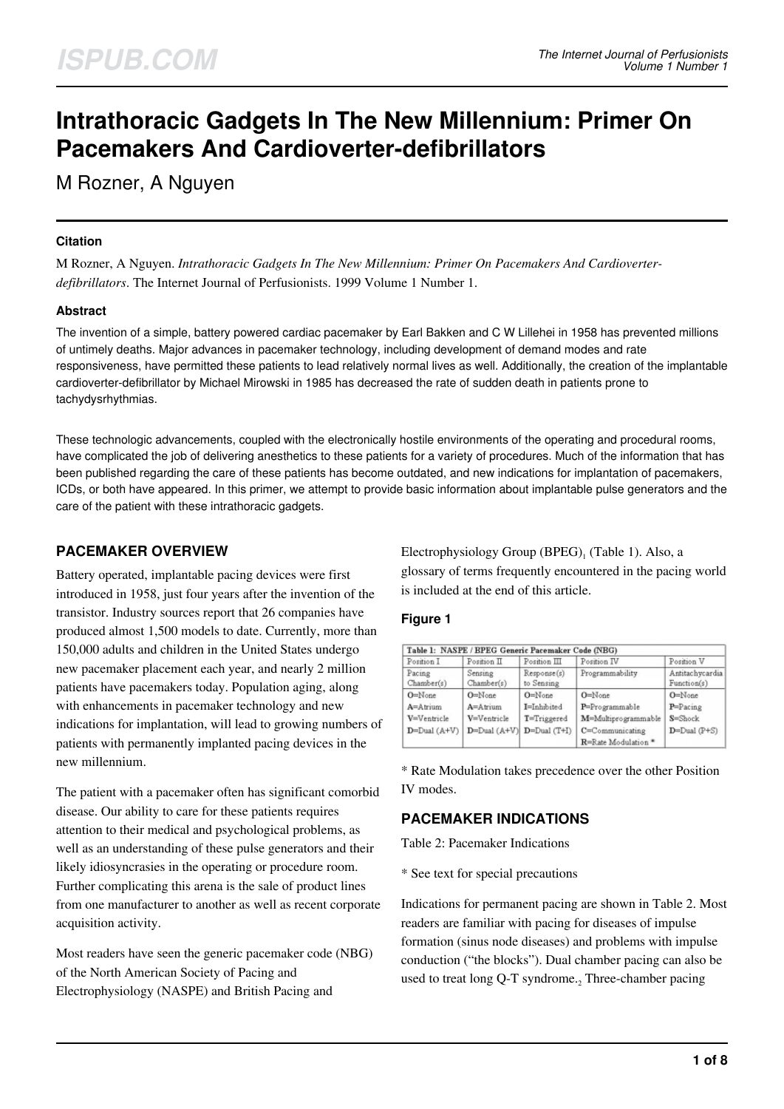# **Intrathoracic Gadgets In The New Millennium: Primer On Pacemakers And Cardioverter-defibrillators**

M Rozner, A Nguyen

### **Citation**

M Rozner, A Nguyen. *Intrathoracic Gadgets In The New Millennium: Primer On Pacemakers And Cardioverterdefibrillators*. The Internet Journal of Perfusionists. 1999 Volume 1 Number 1.

### **Abstract**

The invention of a simple, battery powered cardiac pacemaker by Earl Bakken and C W Lillehei in 1958 has prevented millions of untimely deaths. Major advances in pacemaker technology, including development of demand modes and rate responsiveness, have permitted these patients to lead relatively normal lives as well. Additionally, the creation of the implantable cardioverter-defibrillator by Michael Mirowski in 1985 has decreased the rate of sudden death in patients prone to tachydysrhythmias.

These technologic advancements, coupled with the electronically hostile environments of the operating and procedural rooms, have complicated the job of delivering anesthetics to these patients for a variety of procedures. Much of the information that has been published regarding the care of these patients has become outdated, and new indications for implantation of pacemakers, ICDs, or both have appeared. In this primer, we attempt to provide basic information about implantable pulse generators and the care of the patient with these intrathoracic gadgets.

### **PACEMAKER OVERVIEW**

Battery operated, implantable pacing devices were first introduced in 1958, just four years after the invention of the transistor. Industry sources report that 26 companies have produced almost 1,500 models to date. Currently, more than 150,000 adults and children in the United States undergo new pacemaker placement each year, and nearly 2 million patients have pacemakers today. Population aging, along with enhancements in pacemaker technology and new indications for implantation, will lead to growing numbers of patients with permanently implanted pacing devices in the new millennium.

The patient with a pacemaker often has significant comorbid disease. Our ability to care for these patients requires attention to their medical and psychological problems, as well as an understanding of these pulse generators and their likely idiosyncrasies in the operating or procedure room. Further complicating this arena is the sale of product lines from one manufacturer to another as well as recent corporate acquisition activity.

Most readers have seen the generic pacemaker code (NBG) of the North American Society of Pacing and Electrophysiology (NASPE) and British Pacing and

Electrophysiology Group  $(BPEG)$ <sub>1</sub> (Table 1). Also, a glossary of terms frequently encountered in the pacing world is included at the end of this article.

### **Figure 1**

| Position I           | Table 1: NASPE / BPEG Generic Pacemaker Code (NBG)<br>Position II | Position III              | Position IV         | Position V                     |
|----------------------|-------------------------------------------------------------------|---------------------------|---------------------|--------------------------------|
| Pacing<br>Chamber(s) | Sensing<br>Chamber(s)                                             | Response(s)<br>to Sensing | Programmability     | Antitachycardia<br>Function(s) |
| $O =$ None           | $O =$ None                                                        | $O=N$ one                 | $O =$ None          | $O =$ None                     |
| $A =$ Atrium         | $A =$ Atrium                                                      | I=Inhibited               | P=Programmable      | $P = P_{\text{acine}}$         |
| V=Ventricle          | V=Ventricle                                                       | T=Triggered               | M=Multiprogrammable | S=Shock                        |
| $D = Dual(A+V)$      | $D=Dual(A+V)$                                                     | $D = Dual(T+I)$           | C=Communicating     | $D = Dual(P + S)$              |
|                      |                                                                   |                           | R=Rate Modulation * |                                |

\* Rate Modulation takes precedence over the other Position IV modes.

# **PACEMAKER INDICATIONS**

Table 2: Pacemaker Indications

\* See text for special precautions

Indications for permanent pacing are shown in Table 2. Most readers are familiar with pacing for diseases of impulse formation (sinus node diseases) and problems with impulse conduction ("the blocks"). Dual chamber pacing can also be used to treat long Q-T syndrome.<sub>2</sub> Three-chamber pacing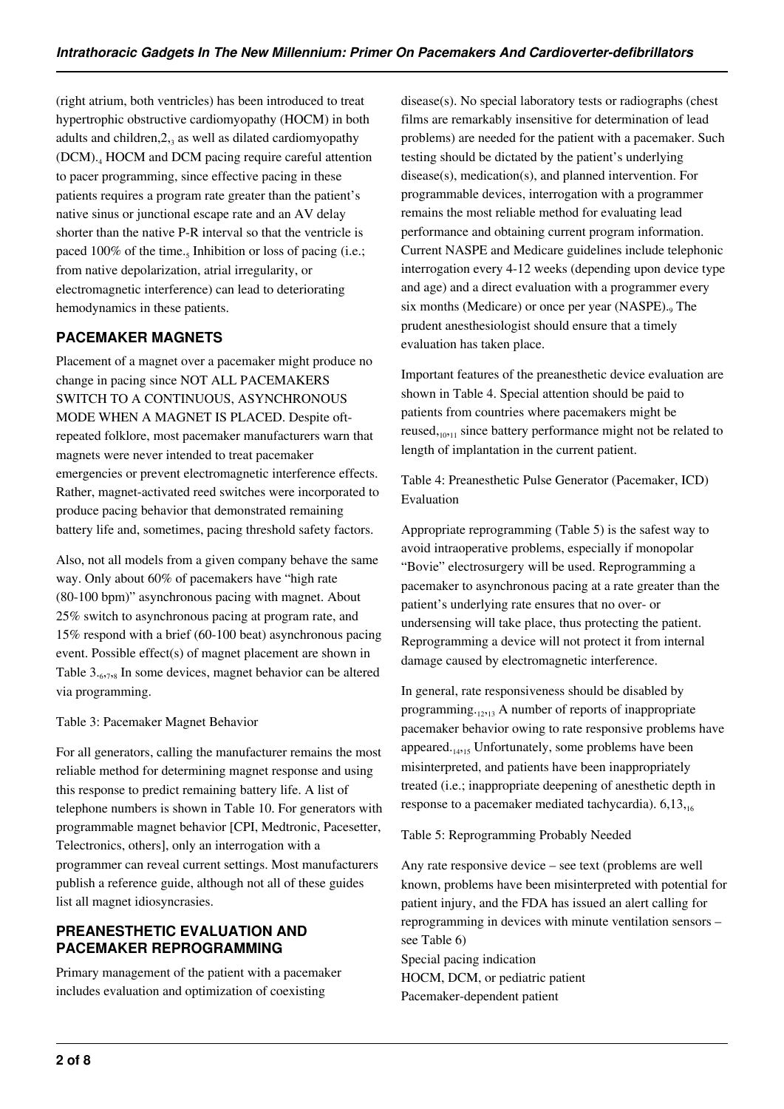(right atrium, both ventricles) has been introduced to treat hypertrophic obstructive cardiomyopathy (HOCM) in both adults and children, $2_{3}$  as well as dilated cardiomyopathy (DCM).<sup>4</sup> HOCM and DCM pacing require careful attention to pacer programming, since effective pacing in these patients requires a program rate greater than the patient's native sinus or junctional escape rate and an AV delay shorter than the native P-R interval so that the ventricle is paced 100% of the time.<sub>5</sub> Inhibition or loss of pacing (i.e.; from native depolarization, atrial irregularity, or electromagnetic interference) can lead to deteriorating hemodynamics in these patients.

# **PACEMAKER MAGNETS**

Placement of a magnet over a pacemaker might produce no change in pacing since NOT ALL PACEMAKERS SWITCH TO A CONTINUOUS, ASYNCHRONOUS MODE WHEN A MAGNET IS PLACED. Despite oftrepeated folklore, most pacemaker manufacturers warn that magnets were never intended to treat pacemaker emergencies or prevent electromagnetic interference effects. Rather, magnet-activated reed switches were incorporated to produce pacing behavior that demonstrated remaining battery life and, sometimes, pacing threshold safety factors.

Also, not all models from a given company behave the same way. Only about 60% of pacemakers have "high rate (80-100 bpm)" asynchronous pacing with magnet. About 25% switch to asynchronous pacing at program rate, and 15% respond with a brief (60-100 beat) asynchronous pacing event. Possible effect(s) of magnet placement are shown in Table 3.<sub>6,7,8</sub> In some devices, magnet behavior can be altered via programming.

Table 3: Pacemaker Magnet Behavior

For all generators, calling the manufacturer remains the most reliable method for determining magnet response and using this response to predict remaining battery life. A list of telephone numbers is shown in Table 10. For generators with programmable magnet behavior [CPI, Medtronic, Pacesetter, Telectronics, others], only an interrogation with a programmer can reveal current settings. Most manufacturers publish a reference guide, although not all of these guides list all magnet idiosyncrasies.

# **PREANESTHETIC EVALUATION AND PACEMAKER REPROGRAMMING**

Primary management of the patient with a pacemaker includes evaluation and optimization of coexisting

disease(s). No special laboratory tests or radiographs (chest films are remarkably insensitive for determination of lead problems) are needed for the patient with a pacemaker. Such testing should be dictated by the patient's underlying disease(s), medication(s), and planned intervention. For programmable devices, interrogation with a programmer remains the most reliable method for evaluating lead performance and obtaining current program information. Current NASPE and Medicare guidelines include telephonic interrogation every 4-12 weeks (depending upon device type and age) and a direct evaluation with a programmer every six months (Medicare) or once per year (NASPE).<sub>9</sub> The prudent anesthesiologist should ensure that a timely evaluation has taken place.

Important features of the preanesthetic device evaluation are shown in Table 4. Special attention should be paid to patients from countries where pacemakers might be reused,<sub>10,11</sub> since battery performance might not be related to length of implantation in the current patient.

Table 4: Preanesthetic Pulse Generator (Pacemaker, ICD) Evaluation

Appropriate reprogramming (Table 5) is the safest way to avoid intraoperative problems, especially if monopolar "Bovie" electrosurgery will be used. Reprogramming a pacemaker to asynchronous pacing at a rate greater than the patient's underlying rate ensures that no over- or undersensing will take place, thus protecting the patient. Reprogramming a device will not protect it from internal damage caused by electromagnetic interference.

In general, rate responsiveness should be disabled by programming. $12,13$  A number of reports of inappropriate pacemaker behavior owing to rate responsive problems have appeared. $_{14,15}$  Unfortunately, some problems have been misinterpreted, and patients have been inappropriately treated (i.e.; inappropriate deepening of anesthetic depth in response to a pacemaker mediated tachycardia). 6,13,16

Table 5: Reprogramming Probably Needed

Any rate responsive device – see text (problems are well known, problems have been misinterpreted with potential for patient injury, and the FDA has issued an alert calling for reprogramming in devices with minute ventilation sensors – see Table 6)

Special pacing indication HOCM, DCM, or pediatric patient Pacemaker-dependent patient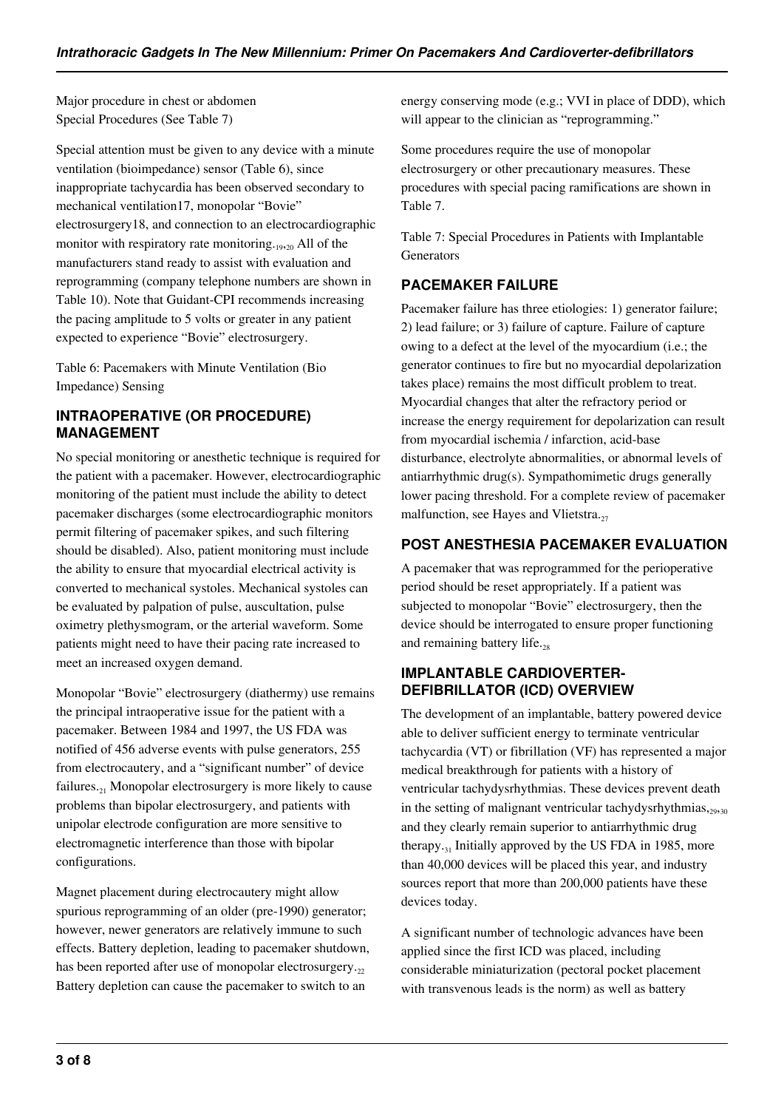Major procedure in chest or abdomen Special Procedures (See Table 7)

Special attention must be given to any device with a minute ventilation (bioimpedance) sensor (Table 6), since inappropriate tachycardia has been observed secondary to mechanical ventilation17, monopolar "Bovie" electrosurgery18, and connection to an electrocardiographic monitor with respiratory rate monitoring.<sub>1920</sub> All of the manufacturers stand ready to assist with evaluation and reprogramming (company telephone numbers are shown in Table 10). Note that Guidant-CPI recommends increasing the pacing amplitude to 5 volts or greater in any patient expected to experience "Bovie" electrosurgery.

Table 6: Pacemakers with Minute Ventilation (Bio Impedance) Sensing

### **INTRAOPERATIVE (OR PROCEDURE) MANAGEMENT**

No special monitoring or anesthetic technique is required for the patient with a pacemaker. However, electrocardiographic monitoring of the patient must include the ability to detect pacemaker discharges (some electrocardiographic monitors permit filtering of pacemaker spikes, and such filtering should be disabled). Also, patient monitoring must include the ability to ensure that myocardial electrical activity is converted to mechanical systoles. Mechanical systoles can be evaluated by palpation of pulse, auscultation, pulse oximetry plethysmogram, or the arterial waveform. Some patients might need to have their pacing rate increased to meet an increased oxygen demand.

Monopolar "Bovie" electrosurgery (diathermy) use remains the principal intraoperative issue for the patient with a pacemaker. Between 1984 and 1997, the US FDA was notified of 456 adverse events with pulse generators, 255 from electrocautery, and a "significant number" of device failures. $_{21}$  Monopolar electrosurgery is more likely to cause problems than bipolar electrosurgery, and patients with unipolar electrode configuration are more sensitive to electromagnetic interference than those with bipolar configurations.

Magnet placement during electrocautery might allow spurious reprogramming of an older (pre-1990) generator; however, newer generators are relatively immune to such effects. Battery depletion, leading to pacemaker shutdown, has been reported after use of monopolar electrosurgery. $,$ Battery depletion can cause the pacemaker to switch to an

energy conserving mode (e.g.; VVI in place of DDD), which will appear to the clinician as "reprogramming."

Some procedures require the use of monopolar electrosurgery or other precautionary measures. These procedures with special pacing ramifications are shown in Table 7.

Table 7: Special Procedures in Patients with Implantable Generators

### **PACEMAKER FAILURE**

Pacemaker failure has three etiologies: 1) generator failure; 2) lead failure; or 3) failure of capture. Failure of capture owing to a defect at the level of the myocardium (i.e.; the generator continues to fire but no myocardial depolarization takes place) remains the most difficult problem to treat. Myocardial changes that alter the refractory period or increase the energy requirement for depolarization can result from myocardial ischemia / infarction, acid-base disturbance, electrolyte abnormalities, or abnormal levels of antiarrhythmic drug(s). Sympathomimetic drugs generally lower pacing threshold. For a complete review of pacemaker malfunction, see Hayes and Vlietstra. $_{27}$ 

### **POST ANESTHESIA PACEMAKER EVALUATION**

A pacemaker that was reprogrammed for the perioperative period should be reset appropriately. If a patient was subjected to monopolar "Bovie" electrosurgery, then the device should be interrogated to ensure proper functioning and remaining battery life. $_{28}$ 

### **IMPLANTABLE CARDIOVERTER-DEFIBRILLATOR (ICD) OVERVIEW**

The development of an implantable, battery powered device able to deliver sufficient energy to terminate ventricular tachycardia (VT) or fibrillation (VF) has represented a major medical breakthrough for patients with a history of ventricular tachydysrhythmias. These devices prevent death in the setting of malignant ventricular tachydysrhythmias, $2930$ and they clearly remain superior to antiarrhythmic drug therapy.<sub>31</sub> Initially approved by the US FDA in 1985, more than 40,000 devices will be placed this year, and industry sources report that more than 200,000 patients have these devices today.

A significant number of technologic advances have been applied since the first ICD was placed, including considerable miniaturization (pectoral pocket placement with transvenous leads is the norm) as well as battery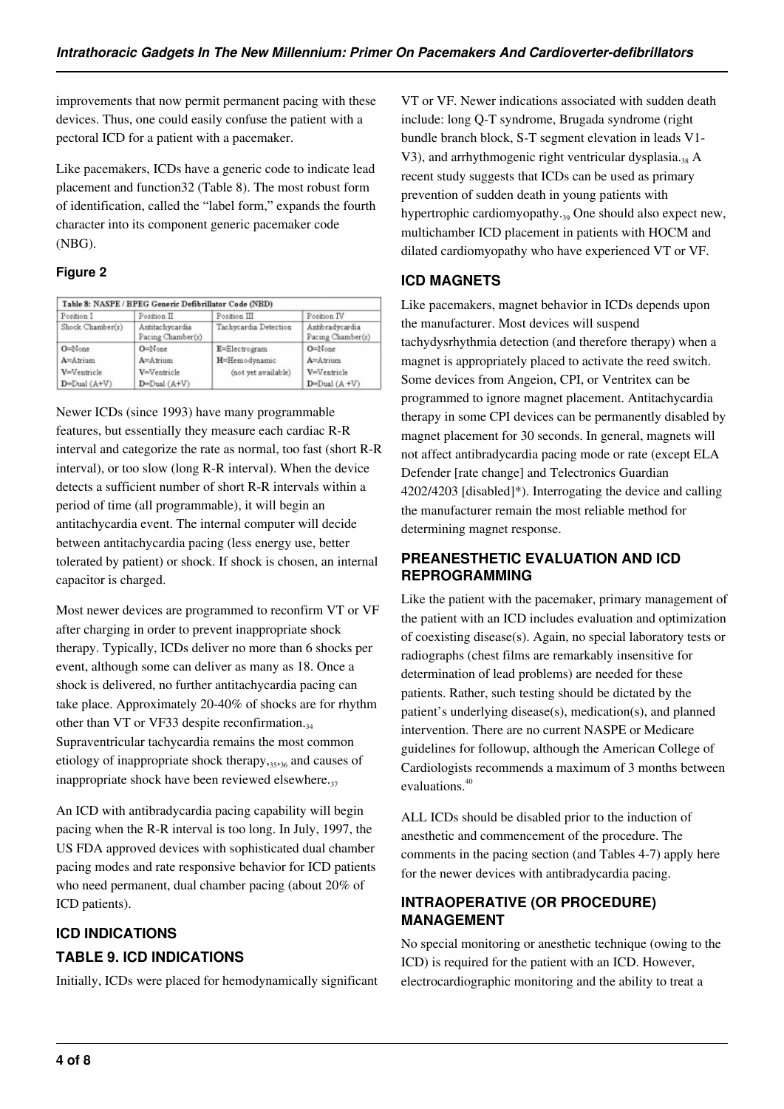improvements that now permit permanent pacing with these devices. Thus, one could easily confuse the patient with a pectoral ICD for a patient with a pacemaker.

Like pacemakers, ICDs have a generic code to indicate lead placement and function32 (Table 8). The most robust form of identification, called the "label form," expands the fourth character into its component generic pacemaker code (NBG).

### **Figure 2**

| Position I       | Position II                          | Position III          | Position IV                          |
|------------------|--------------------------------------|-----------------------|--------------------------------------|
| Shock Chamber(s) | Antitachycardia<br>Pacing Chamber(s) | Tachycardia Detection | Antibradycardia<br>Pacing Chamber(s) |
| $O = None$       | $O = None$                           | E=Electrogram         | $O=$ None                            |
| A=Atrium         | A=Atrium                             | H=Hemodynamic         | $A =$ Atrium                         |
| V=Ventricle      | V=Ventricle                          | (not yet available)   | V=Ventricle                          |
| $D=Dual(A+V)$    | $D=Dual(A+V)$                        |                       | $D = Dual(A + V)$                    |

Newer ICDs (since 1993) have many programmable features, but essentially they measure each cardiac R-R interval and categorize the rate as normal, too fast (short R-R interval), or too slow (long R-R interval). When the device detects a sufficient number of short R-R intervals within a period of time (all programmable), it will begin an antitachycardia event. The internal computer will decide between antitachycardia pacing (less energy use, better tolerated by patient) or shock. If shock is chosen, an internal capacitor is charged.

Most newer devices are programmed to reconfirm VT or VF after charging in order to prevent inappropriate shock therapy. Typically, ICDs deliver no more than 6 shocks per event, although some can deliver as many as 18. Once a shock is delivered, no further antitachycardia pacing can take place. Approximately 20-40% of shocks are for rhythm other than VT or VF33 despite reconfirmation. $_{34}$ Supraventricular tachycardia remains the most common etiology of inappropriate shock therapy,35,36 and causes of inappropriate shock have been reviewed elsewhere. $_{37}$ 

An ICD with antibradycardia pacing capability will begin pacing when the R-R interval is too long. In July, 1997, the US FDA approved devices with sophisticated dual chamber pacing modes and rate responsive behavior for ICD patients who need permanent, dual chamber pacing (about 20% of ICD patients).

# **ICD INDICATIONS TABLE 9. ICD INDICATIONS**

Initially, ICDs were placed for hemodynamically significant

VT or VF. Newer indications associated with sudden death include: long Q-T syndrome, Brugada syndrome (right bundle branch block, S-T segment elevation in leads V1- V3), and arrhythmogenic right ventricular dysplasia.<sub>38</sub> A recent study suggests that ICDs can be used as primary prevention of sudden death in young patients with hypertrophic cardiomyopathy.<sub>39</sub> One should also expect new, multichamber ICD placement in patients with HOCM and dilated cardiomyopathy who have experienced VT or VF.

# **ICD MAGNETS**

Like pacemakers, magnet behavior in ICDs depends upon the manufacturer. Most devices will suspend tachydysrhythmia detection (and therefore therapy) when a magnet is appropriately placed to activate the reed switch. Some devices from Angeion, CPI, or Ventritex can be programmed to ignore magnet placement. Antitachycardia therapy in some CPI devices can be permanently disabled by magnet placement for 30 seconds. In general, magnets will not affect antibradycardia pacing mode or rate (except ELA Defender [rate change] and Telectronics Guardian 4202/4203 [disabled]\*). Interrogating the device and calling the manufacturer remain the most reliable method for determining magnet response.

### **PREANESTHETIC EVALUATION AND ICD REPROGRAMMING**

Like the patient with the pacemaker, primary management of the patient with an ICD includes evaluation and optimization of coexisting disease(s). Again, no special laboratory tests or radiographs (chest films are remarkably insensitive for determination of lead problems) are needed for these patients. Rather, such testing should be dictated by the patient's underlying disease(s), medication(s), and planned intervention. There are no current NASPE or Medicare guidelines for followup, although the American College of Cardiologists recommends a maximum of 3 months between evaluations.<sup>40</sup>

ALL ICDs should be disabled prior to the induction of anesthetic and commencement of the procedure. The comments in the pacing section (and Tables 4-7) apply here for the newer devices with antibradycardia pacing.

# **INTRAOPERATIVE (OR PROCEDURE) MANAGEMENT**

No special monitoring or anesthetic technique (owing to the ICD) is required for the patient with an ICD. However, electrocardiographic monitoring and the ability to treat a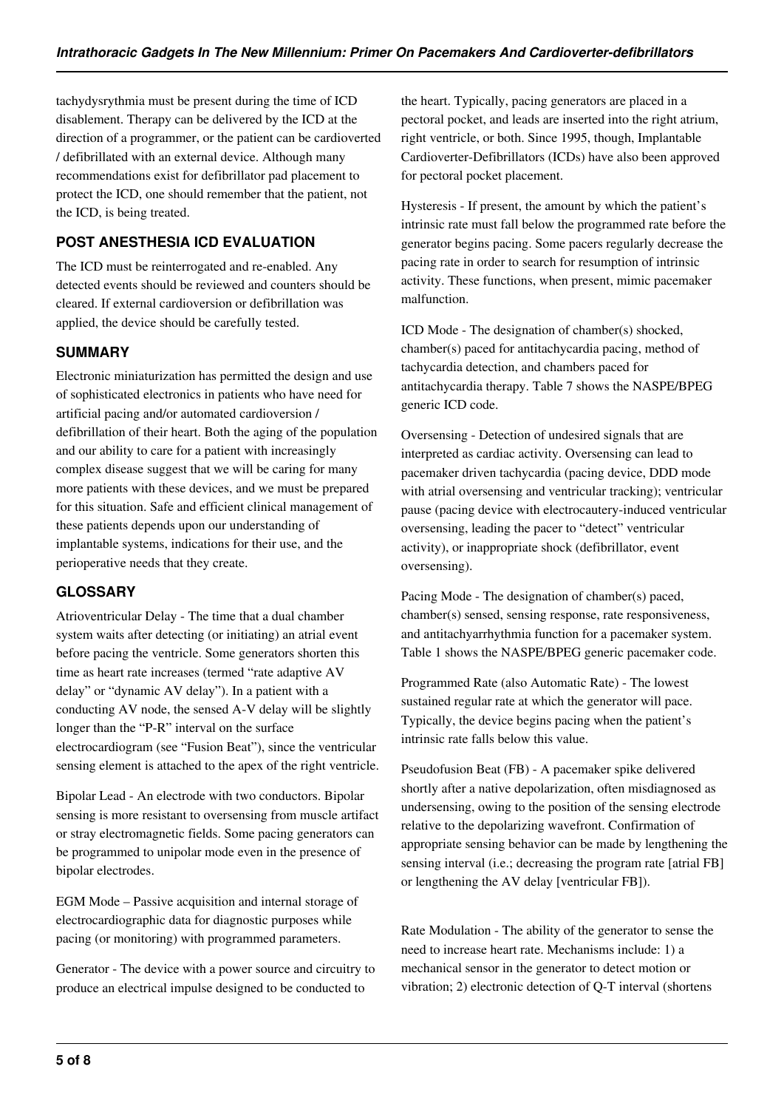tachydysrythmia must be present during the time of ICD disablement. Therapy can be delivered by the ICD at the direction of a programmer, or the patient can be cardioverted / defibrillated with an external device. Although many recommendations exist for defibrillator pad placement to protect the ICD, one should remember that the patient, not the ICD, is being treated.

# **POST ANESTHESIA ICD EVALUATION**

The ICD must be reinterrogated and re-enabled. Any detected events should be reviewed and counters should be cleared. If external cardioversion or defibrillation was applied, the device should be carefully tested.

### **SUMMARY**

Electronic miniaturization has permitted the design and use of sophisticated electronics in patients who have need for artificial pacing and/or automated cardioversion / defibrillation of their heart. Both the aging of the population and our ability to care for a patient with increasingly complex disease suggest that we will be caring for many more patients with these devices, and we must be prepared for this situation. Safe and efficient clinical management of these patients depends upon our understanding of implantable systems, indications for their use, and the perioperative needs that they create.

# **GLOSSARY**

Atrioventricular Delay - The time that a dual chamber system waits after detecting (or initiating) an atrial event before pacing the ventricle. Some generators shorten this time as heart rate increases (termed "rate adaptive AV delay" or "dynamic AV delay"). In a patient with a conducting AV node, the sensed A-V delay will be slightly longer than the "P-R" interval on the surface electrocardiogram (see "Fusion Beat"), since the ventricular sensing element is attached to the apex of the right ventricle.

Bipolar Lead - An electrode with two conductors. Bipolar sensing is more resistant to oversensing from muscle artifact or stray electromagnetic fields. Some pacing generators can be programmed to unipolar mode even in the presence of bipolar electrodes.

EGM Mode – Passive acquisition and internal storage of electrocardiographic data for diagnostic purposes while pacing (or monitoring) with programmed parameters.

Generator - The device with a power source and circuitry to produce an electrical impulse designed to be conducted to

the heart. Typically, pacing generators are placed in a pectoral pocket, and leads are inserted into the right atrium, right ventricle, or both. Since 1995, though, Implantable Cardioverter-Defibrillators (ICDs) have also been approved for pectoral pocket placement.

Hysteresis - If present, the amount by which the patient's intrinsic rate must fall below the programmed rate before the generator begins pacing. Some pacers regularly decrease the pacing rate in order to search for resumption of intrinsic activity. These functions, when present, mimic pacemaker malfunction.

ICD Mode - The designation of chamber(s) shocked, chamber(s) paced for antitachycardia pacing, method of tachycardia detection, and chambers paced for antitachycardia therapy. Table 7 shows the NASPE/BPEG generic ICD code.

Oversensing - Detection of undesired signals that are interpreted as cardiac activity. Oversensing can lead to pacemaker driven tachycardia (pacing device, DDD mode with atrial oversensing and ventricular tracking); ventricular pause (pacing device with electrocautery-induced ventricular oversensing, leading the pacer to "detect" ventricular activity), or inappropriate shock (defibrillator, event oversensing).

Pacing Mode - The designation of chamber(s) paced, chamber(s) sensed, sensing response, rate responsiveness, and antitachyarrhythmia function for a pacemaker system. Table 1 shows the NASPE/BPEG generic pacemaker code.

Programmed Rate (also Automatic Rate) - The lowest sustained regular rate at which the generator will pace. Typically, the device begins pacing when the patient's intrinsic rate falls below this value.

Pseudofusion Beat (FB) - A pacemaker spike delivered shortly after a native depolarization, often misdiagnosed as undersensing, owing to the position of the sensing electrode relative to the depolarizing wavefront. Confirmation of appropriate sensing behavior can be made by lengthening the sensing interval (i.e.; decreasing the program rate [atrial FB] or lengthening the AV delay [ventricular FB]).

Rate Modulation - The ability of the generator to sense the need to increase heart rate. Mechanisms include: 1) a mechanical sensor in the generator to detect motion or vibration; 2) electronic detection of Q-T interval (shortens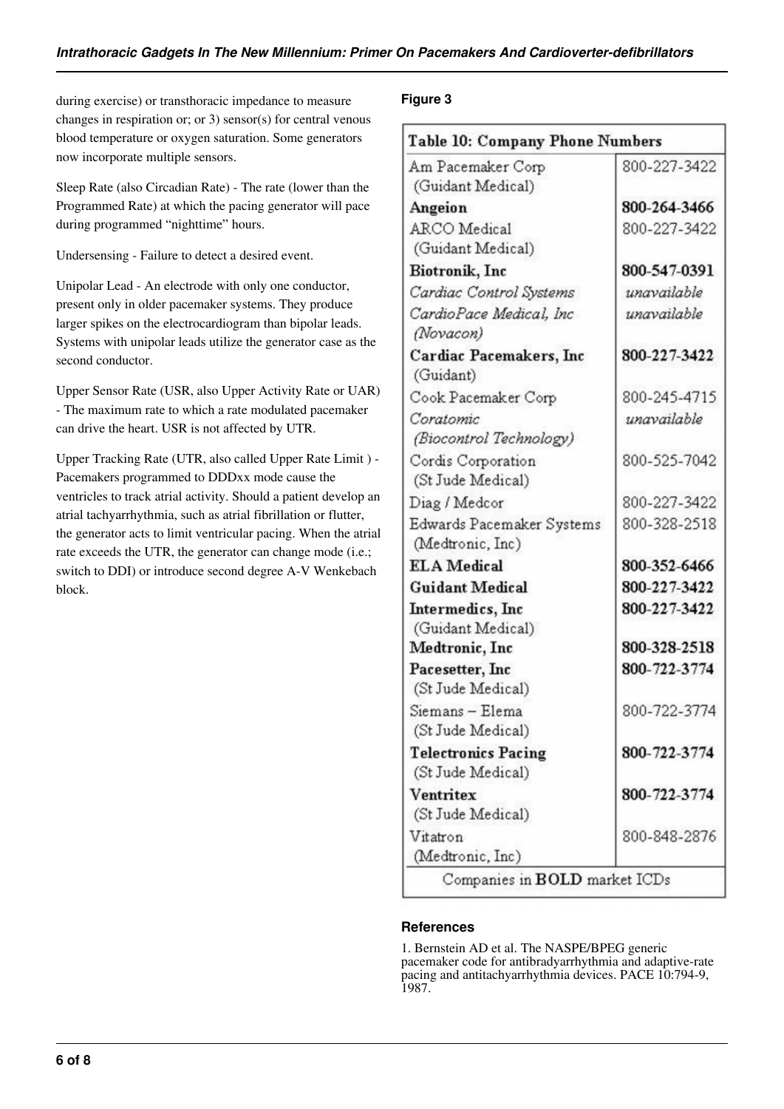during exercise) or transthoracic impedance to measure changes in respiration or; or 3) sensor(s) for central venous blood temperature or oxygen saturation. Some generators now incorporate multiple sensors.

Sleep Rate (also Circadian Rate) - The rate (lower than the Programmed Rate) at which the pacing generator will pace during programmed "nighttime" hours.

Undersensing - Failure to detect a desired event.

Unipolar Lead - An electrode with only one conductor, present only in older pacemaker systems. They produce larger spikes on the electrocardiogram than bipolar leads. Systems with unipolar leads utilize the generator case as the second conductor.

Upper Sensor Rate (USR, also Upper Activity Rate or UAR) - The maximum rate to which a rate modulated pacemaker can drive the heart. USR is not affected by UTR.

Upper Tracking Rate (UTR, also called Upper Rate Limit ) - Pacemakers programmed to DDDxx mode cause the ventricles to track atrial activity. Should a patient develop an atrial tachyarrhythmia, such as atrial fibrillation or flutter, the generator acts to limit ventricular pacing. When the atrial rate exceeds the UTR, the generator can change mode (i.e.; switch to DDI) or introduce second degree A-V Wenkebach block.

### **Figure 3**

| Table 10: Company Phone Numbers |              |  |  |  |
|---------------------------------|--------------|--|--|--|
| Am Pacemaker Corp               | 800-227-3422 |  |  |  |
| (Guidant Medical)               |              |  |  |  |
| Angeion                         | 800-264-3466 |  |  |  |
| <b>ARCO</b> Medical             | 800-227-3422 |  |  |  |
| (Guidant Medical)               |              |  |  |  |
| <b>Biotronik</b> , Inc.         | 800-547-0391 |  |  |  |
| Cardiac Control Systems         | unavailable  |  |  |  |
| CardioPace Medical, Inc         | unavailable  |  |  |  |
| (Novacon)                       |              |  |  |  |
| Cardiac Pacemakers, Inc         | 800-227-3422 |  |  |  |
| (Guidant)                       |              |  |  |  |
| Cook Pacemaker Corp             | 800-245-4715 |  |  |  |
| Coratomic                       | unavailable  |  |  |  |
| (Biocontrol Technology)         |              |  |  |  |
| Cordis Corporation              | 800-525-7042 |  |  |  |
| (St Jude Medical)               |              |  |  |  |
| Diag / Medcor                   | 800-227-3422 |  |  |  |
| Edwards Pacemaker Systems       | 800-328-2518 |  |  |  |
| (Medtronic, Inc)                |              |  |  |  |
| <b>ELA</b> Medical              | 800-352-6466 |  |  |  |
| <b>Guidant Medical</b>          | 800-227-3422 |  |  |  |
| Intermedics, Inc.               | 800-227-3422 |  |  |  |
| (Guidant Medical)               |              |  |  |  |
| Medtronic, Inc.                 | 800-328-2518 |  |  |  |
| Pacesetter, Inc.                | 800-722-3774 |  |  |  |
| (St Jude Medical)               |              |  |  |  |
| Siemans - Elema                 | 800-722-3774 |  |  |  |
| (St Jude Medical)               |              |  |  |  |
| <b>Telectronics Pacing</b>      | 800-722-3774 |  |  |  |
| (St Jude Medical)               |              |  |  |  |
| Ventritex                       | 800-722-3774 |  |  |  |
| (St Jude Medical)               |              |  |  |  |
| Vitatron                        | 800-848-2876 |  |  |  |
| (Medtronic, Inc)                |              |  |  |  |
| Companies in BOLD market ICDs   |              |  |  |  |

### **References**

1. Bernstein AD et al. The NASPE/BPEG generic pacemaker code for antibradyarrhythmia and adaptive-rate pacing and antitachyarrhythmia devices. PACE 10:794-9, 1987.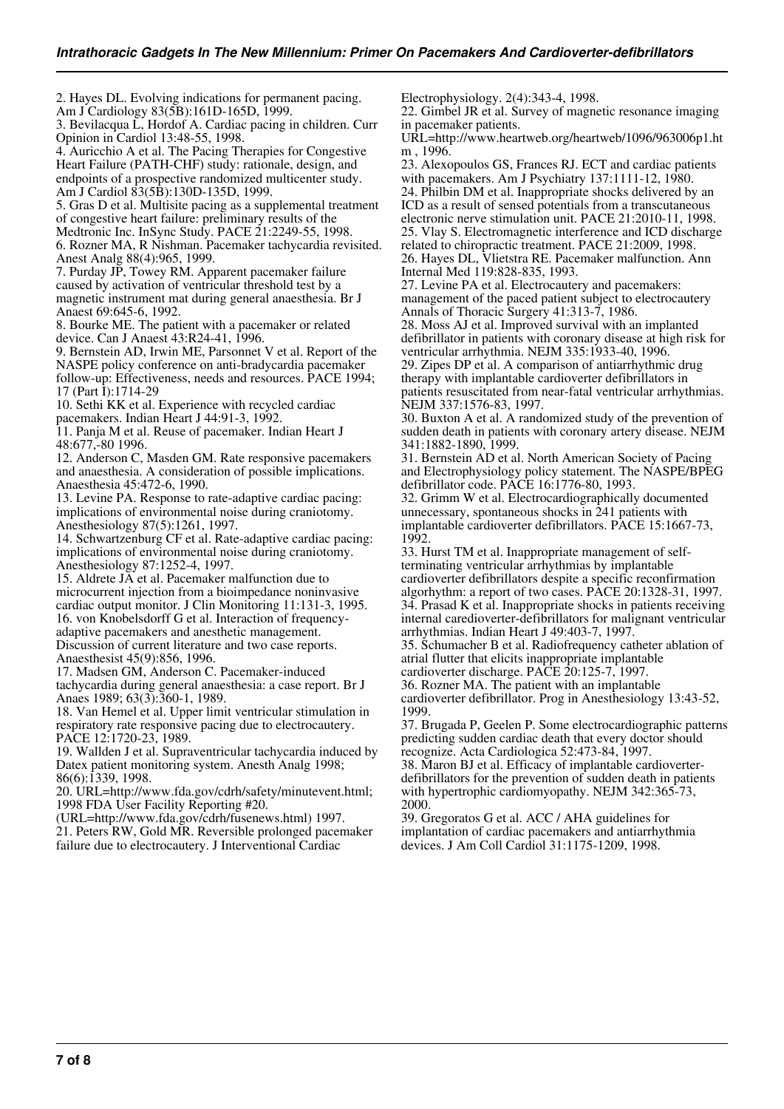2. Hayes DL. Evolving indications for permanent pacing. Am J Cardiology 83(5B):161D-165D, 1999. 3. Bevilacqua L, Hordof A. Cardiac pacing in children. Curr Opinion in Cardiol 13:48-55, 1998. 4. Auricchio A et al. The Pacing Therapies for Congestive Heart Failure (PATH-CHF) study: rationale, design, and endpoints of a prospective randomized multicenter study. Am J Cardiol 83(5B):130D-135D, 1999. 5. Gras D et al. Multisite pacing as a supplemental treatment of congestive heart failure: preliminary results of the Medtronic Inc. InSync Study. PACE 21:2249-55, 1998. 6. Rozner MA, R Nishman. Pacemaker tachycardia revisited. Anest Analg 88(4):965, 1999. 7. Purday JP, Towey RM. Apparent pacemaker failure caused by activation of ventricular threshold test by a magnetic instrument mat during general anaesthesia. Br J Anaest 69:645-6, 1992. 8. Bourke ME. The patient with a pacemaker or related device. Can J Anaest 43:R24-41, 1996. 9. Bernstein AD, Irwin ME, Parsonnet V et al. Report of the NASPE policy conference on anti-bradycardia pacemaker follow-up: Effectiveness, needs and resources. PACE 1994; 17 (Part I):1714-29 10. Sethi KK et al. Experience with recycled cardiac pacemakers. Indian Heart J 44:91-3, 1992. 11. Panja M et al. Reuse of pacemaker. Indian Heart J 48:677,-80 1996. 12. Anderson C, Masden GM. Rate responsive pacemakers and anaesthesia. A consideration of possible implications. Anaesthesia 45:472-6, 1990. 13. Levine PA. Response to rate-adaptive cardiac pacing: implications of environmental noise during craniotomy. Anesthesiology 87(5):1261, 1997.

14. Schwartzenburg CF et al. Rate-adaptive cardiac pacing: implications of environmental noise during craniotomy. Anesthesiology 87:1252-4, 1997.

15. Aldrete JA et al. Pacemaker malfunction due to microcurrent injection from a bioimpedance noninvasive cardiac output monitor. J Clin Monitoring 11:131-3, 1995. 16. von Knobelsdorff G et al. Interaction of frequencyadaptive pacemakers and anesthetic management. Discussion of current literature and two case reports. Anaesthesist 45(9):856, 1996.

17. Madsen GM, Anderson C. Pacemaker-induced tachycardia during general anaesthesia: a case report. Br J Anaes 1989; 63(3):360-1, 1989.

18. Van Hemel et al. Upper limit ventricular stimulation in respiratory rate responsive pacing due to electrocautery. PACE 12:1720-23, 1989.

19. Wallden J et al. Supraventricular tachycardia induced by Datex patient monitoring system. Anesth Analg 1998; 86(6):1339, 1998.

20. URL=http://www.fda.gov/cdrh/safety/minutevent.html; 1998 FDA User Facility Reporting #20.

(URL=http://www.fda.gov/cdrh/fusenews.html) 1997.

21. Peters RW, Gold MR. Reversible prolonged pacemaker failure due to electrocautery. J Interventional Cardiac

Electrophysiology. 2(4):343-4, 1998.

22. Gimbel JR et al. Survey of magnetic resonance imaging in pacemaker patients.

URL=http://www.heartweb.org/heartweb/1096/963006p1.ht m , 1996.

23. Alexopoulos GS, Frances RJ. ECT and cardiac patients with pacemakers. Am J Psychiatry 137:1111-12, 1980. 24. Philbin DM et al. Inappropriate shocks delivered by an ICD as a result of sensed potentials from a transcutaneous electronic nerve stimulation unit. PACE 21:2010-11, 1998. 25. Vlay S. Electromagnetic interference and ICD discharge related to chiropractic treatment. PACE 21:2009, 1998.

26. Hayes DL, Vlietstra RE. Pacemaker malfunction. Ann Internal Med 119:828-835, 1993.

27. Levine PA et al. Electrocautery and pacemakers: management of the paced patient subject to electrocautery Annals of Thoracic Surgery 41:313-7, 1986.

28. Moss AJ et al. Improved survival with an implanted defibrillator in patients with coronary disease at high risk for ventricular arrhythmia. NEJM 335:1933-40, 1996. 29. Zipes DP et al. A comparison of antiarrhythmic drug therapy with implantable cardioverter defibrillators in patients resuscitated from near-fatal ventricular arrhythmias. NEJM 337:1576-83, 1997.

30. Buxton A et al. A randomized study of the prevention of sudden death in patients with coronary artery disease. NEJM 341:1882-1890, 1999.

31. Bernstein AD et al. North American Society of Pacing and Electrophysiology policy statement. The NASPE/BPEG defibrillator code. PACE 16:1776-80, 1993.

32. Grimm W et al. Electrocardiographically documented unnecessary, spontaneous shocks in 241 patients with implantable cardioverter defibrillators. PACE 15:1667-73, 1992.

33. Hurst TM et al. Inappropriate management of selfterminating ventricular arrhythmias by implantable cardioverter defibrillators despite a specific reconfirmation algorhythm: a report of two cases. PACE 20:1328-31, 1997. 34. Prasad K et al. Inappropriate shocks in patients receiving internal caredioverter-defibrillators for malignant ventricular arrhythmias. Indian Heart J 49:403-7, 1997.

35. Schumacher B et al. Radiofrequency catheter ablation of atrial flutter that elicits inappropriate implantable

cardioverter discharge. PACE 20:125-7, 1997.

36. Rozner MA. The patient with an implantable cardioverter defibrillator. Prog in Anesthesiology 13:43-52, 1999.

37. Brugada P, Geelen P. Some electrocardiographic patterns predicting sudden cardiac death that every doctor should recognize. Acta Cardiologica 52:473-84, 1997.

38. Maron BJ et al. Efficacy of implantable cardioverterdefibrillators for the prevention of sudden death in patients with hypertrophic cardiomyopathy. NEJM 342:365-73, 2000.

39. Gregoratos G et al. ACC / AHA guidelines for implantation of cardiac pacemakers and antiarrhythmia devices. J Am Coll Cardiol 31:1175-1209, 1998.